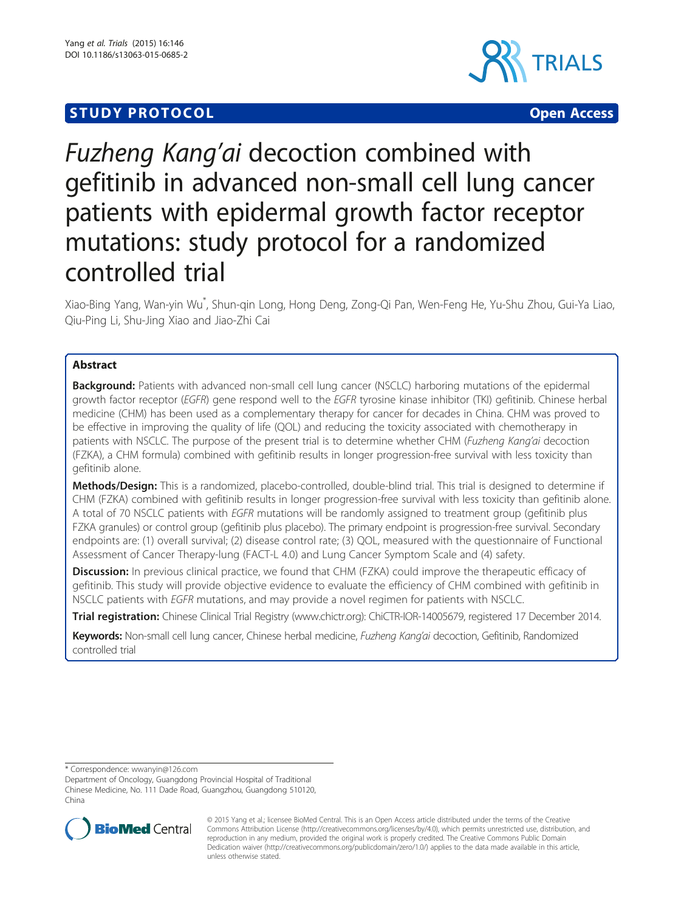## **STUDY PROTOCOL CONSUMING THE CONSUMING OPEN ACCESS**



# Fuzheng Kang'ai decoction combined with gefitinib in advanced non-small cell lung cancer patients with epidermal growth factor receptor mutations: study protocol for a randomized controlled trial

Xiao-Bing Yang, Wan-yin Wu<sup>\*</sup>, Shun-qin Long, Hong Deng, Zong-Qi Pan, Wen-Feng He, Yu-Shu Zhou, Gui-Ya Liao, Qiu-Ping Li, Shu-Jing Xiao and Jiao-Zhi Cai

## Abstract

Background: Patients with advanced non-small cell lung cancer (NSCLC) harboring mutations of the epidermal growth factor receptor (EGFR) gene respond well to the EGFR tyrosine kinase inhibitor (TKI) gefitinib. Chinese herbal medicine (CHM) has been used as a complementary therapy for cancer for decades in China. CHM was proved to be effective in improving the quality of life (QOL) and reducing the toxicity associated with chemotherapy in patients with NSCLC. The purpose of the present trial is to determine whether CHM (Fuzheng Kang'ai decoction (FZKA), a CHM formula) combined with gefitinib results in longer progression-free survival with less toxicity than gefitinib alone.

Methods/Design: This is a randomized, placebo-controlled, double-blind trial. This trial is designed to determine if CHM (FZKA) combined with gefitinib results in longer progression-free survival with less toxicity than gefitinib alone. A total of 70 NSCLC patients with EGFR mutations will be randomly assigned to treatment group (gefitinib plus FZKA granules) or control group (gefitinib plus placebo). The primary endpoint is progression-free survival. Secondary endpoints are: (1) overall survival; (2) disease control rate; (3) QOL, measured with the questionnaire of Functional Assessment of Cancer Therapy-lung (FACT-L 4.0) and Lung Cancer Symptom Scale and (4) safety.

**Discussion:** In previous clinical practice, we found that CHM (FZKA) could improve the therapeutic efficacy of gefitinib. This study will provide objective evidence to evaluate the efficiency of CHM combined with gefitinib in NSCLC patients with EGFR mutations, and may provide a novel regimen for patients with NSCLC.

Trial registration: Chinese Clinical Trial Registry ([www.chictr.org\)](http://www.chictr.org): [ChiCTR-IOR-14005679,](http://www.chictr.org.cn/showproj.aspx?proj=9964) registered 17 December 2014.

Keywords: Non-small cell lung cancer, Chinese herbal medicine, Fuzheng Kang'ai decoction, Gefitinib, Randomized controlled trial

\* Correspondence: [wwanyin@126.com](mailto:wwanyin@126.com)

Department of Oncology, Guangdong Provincial Hospital of Traditional Chinese Medicine, No. 111 Dade Road, Guangzhou, Guangdong 510120, China



© 2015 Yang et al.; licensee BioMed Central. This is an Open Access article distributed under the terms of the Creative Commons Attribution License [\(http://creativecommons.org/licenses/by/4.0\)](http://creativecommons.org/licenses/by/4.0), which permits unrestricted use, distribution, and reproduction in any medium, provided the original work is properly credited. The Creative Commons Public Domain Dedication waiver [\(http://creativecommons.org/publicdomain/zero/1.0/](http://creativecommons.org/publicdomain/zero/1.0/)) applies to the data made available in this article, unless otherwise stated.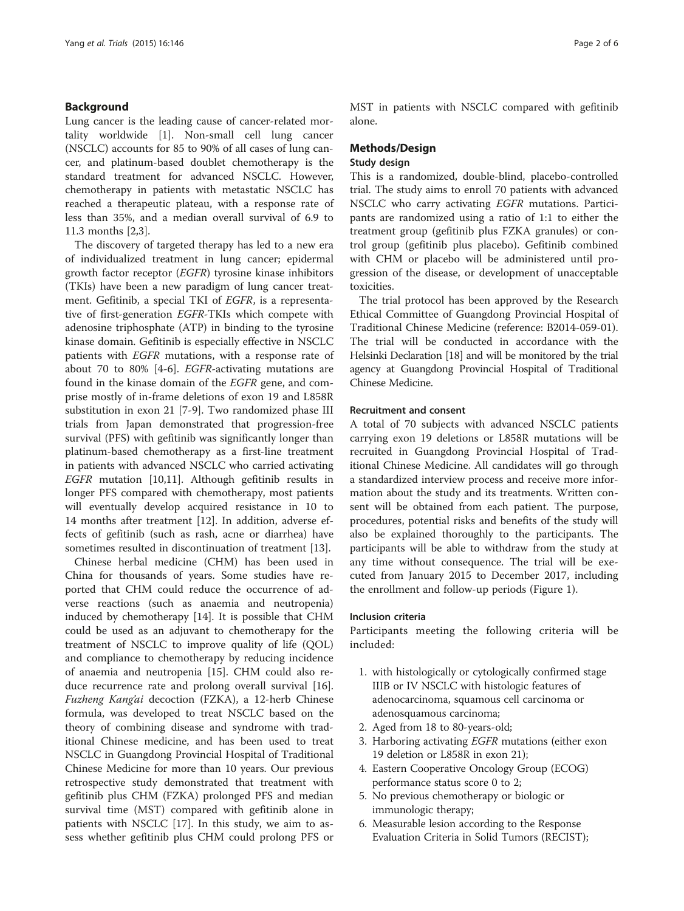#### Background

Lung cancer is the leading cause of cancer-related mortality worldwide [\[1](#page-4-0)]. Non-small cell lung cancer (NSCLC) accounts for 85 to 90% of all cases of lung cancer, and platinum-based doublet chemotherapy is the standard treatment for advanced NSCLC. However, chemotherapy in patients with metastatic NSCLC has reached a therapeutic plateau, with a response rate of less than 35%, and a median overall survival of 6.9 to 11.3 months [[2](#page-4-0),[3\]](#page-4-0).

The discovery of targeted therapy has led to a new era of individualized treatment in lung cancer; epidermal growth factor receptor (EGFR) tyrosine kinase inhibitors (TKIs) have been a new paradigm of lung cancer treatment. Gefitinib, a special TKI of EGFR, is a representative of first-generation EGFR-TKIs which compete with adenosine triphosphate (ATP) in binding to the tyrosine kinase domain. Gefitinib is especially effective in NSCLC patients with EGFR mutations, with a response rate of about 70 to 80% [\[4](#page-4-0)-[6\]](#page-4-0). EGFR-activating mutations are found in the kinase domain of the EGFR gene, and comprise mostly of in-frame deletions of exon 19 and L858R substitution in exon 21 [[7-9](#page-4-0)]. Two randomized phase III trials from Japan demonstrated that progression-free survival (PFS) with gefitinib was significantly longer than platinum-based chemotherapy as a first-line treatment in patients with advanced NSCLC who carried activating EGFR mutation [[10,11\]](#page-4-0). Although gefitinib results in longer PFS compared with chemotherapy, most patients will eventually develop acquired resistance in 10 to 14 months after treatment [\[12](#page-4-0)]. In addition, adverse effects of gefitinib (such as rash, acne or diarrhea) have sometimes resulted in discontinuation of treatment [\[13\]](#page-4-0).

Chinese herbal medicine (CHM) has been used in China for thousands of years. Some studies have reported that CHM could reduce the occurrence of adverse reactions (such as anaemia and neutropenia) induced by chemotherapy [\[14](#page-4-0)]. It is possible that CHM could be used as an adjuvant to chemotherapy for the treatment of NSCLC to improve quality of life (QOL) and compliance to chemotherapy by reducing incidence of anaemia and neutropenia [[15\]](#page-4-0). CHM could also reduce recurrence rate and prolong overall survival [\[16](#page-4-0)]. Fuzheng Kang'ai decoction (FZKA), a 12-herb Chinese formula, was developed to treat NSCLC based on the theory of combining disease and syndrome with traditional Chinese medicine, and has been used to treat NSCLC in Guangdong Provincial Hospital of Traditional Chinese Medicine for more than 10 years. Our previous retrospective study demonstrated that treatment with gefitinib plus CHM (FZKA) prolonged PFS and median survival time (MST) compared with gefitinib alone in patients with NSCLC [\[17](#page-5-0)]. In this study, we aim to assess whether gefitinib plus CHM could prolong PFS or MST in patients with NSCLC compared with gefitinib alone.

### Methods/Design

#### Study design

This is a randomized, double-blind, placebo-controlled trial. The study aims to enroll 70 patients with advanced NSCLC who carry activating EGFR mutations. Participants are randomized using a ratio of 1:1 to either the treatment group (gefitinib plus FZKA granules) or control group (gefitinib plus placebo). Gefitinib combined with CHM or placebo will be administered until progression of the disease, or development of unacceptable toxicities.

The trial protocol has been approved by the Research Ethical Committee of Guangdong Provincial Hospital of Traditional Chinese Medicine (reference: B2014-059-01). The trial will be conducted in accordance with the Helsinki Declaration [\[18](#page-5-0)] and will be monitored by the trial agency at Guangdong Provincial Hospital of Traditional Chinese Medicine.

#### Recruitment and consent

A total of 70 subjects with advanced NSCLC patients carrying exon 19 deletions or L858R mutations will be recruited in Guangdong Provincial Hospital of Traditional Chinese Medicine. All candidates will go through a standardized interview process and receive more information about the study and its treatments. Written consent will be obtained from each patient. The purpose, procedures, potential risks and benefits of the study will also be explained thoroughly to the participants. The participants will be able to withdraw from the study at any time without consequence. The trial will be executed from January 2015 to December 2017, including the enrollment and follow-up periods (Figure [1](#page-2-0)).

#### Inclusion criteria

Participants meeting the following criteria will be included:

- 1. with histologically or cytologically confirmed stage IIIB or IV NSCLC with histologic features of adenocarcinoma, squamous cell carcinoma or adenosquamous carcinoma;
- 2. Aged from 18 to 80-years-old;
- 3. Harboring activating EGFR mutations (either exon 19 deletion or L858R in exon 21);
- 4. Eastern Cooperative Oncology Group (ECOG) performance status score 0 to 2;
- 5. No previous chemotherapy or biologic or immunologic therapy;
- 6. Measurable lesion according to the Response Evaluation Criteria in Solid Tumors (RECIST);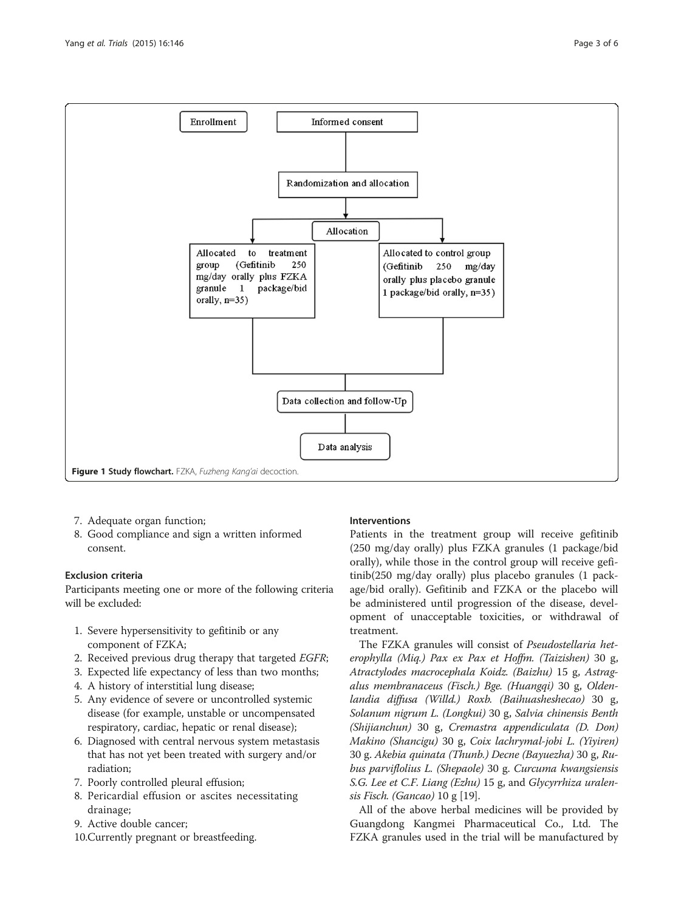<span id="page-2-0"></span>

- 7. Adequate organ function;
- 8. Good compliance and sign a written informed consent.

#### Exclusion criteria

Participants meeting one or more of the following criteria will be excluded:

- 1. Severe hypersensitivity to gefitinib or any component of FZKA;
- 2. Received previous drug therapy that targeted EGFR;
- 3. Expected life expectancy of less than two months;
- 4. A history of interstitial lung disease;
- 5. Any evidence of severe or uncontrolled systemic disease (for example, unstable or uncompensated respiratory, cardiac, hepatic or renal disease);
- 6. Diagnosed with central nervous system metastasis that has not yet been treated with surgery and/or radiation;
- 7. Poorly controlled pleural effusion;
- 8. Pericardial effusion or ascites necessitating drainage;
- 9. Active double cancer;
- 10.Currently pregnant or breastfeeding.

#### Interventions

Patients in the treatment group will receive gefitinib (250 mg/day orally) plus FZKA granules (1 package/bid orally), while those in the control group will receive gefitinib(250 mg/day orally) plus placebo granules (1 package/bid orally). Gefitinib and FZKA or the placebo will be administered until progression of the disease, development of unacceptable toxicities, or withdrawal of treatment.

The FZKA granules will consist of Pseudostellaria heterophylla (Miq.) Pax ex Pax et Hoffm. (Taizishen) 30 g, Atractylodes macrocephala Koidz. (Baizhu) 15 g, Astragalus membranaceus (Fisch.) Bge. (Huangqi) 30 g, Oldenlandia diffusa (Willd.) Roxb. (Baihuasheshecao) 30 g, Solanum nigrum L. (Longkui) 30 g, Salvia chinensis Benth (Shijianchun) 30 g, Cremastra appendiculata (D. Don) Makino (Shancigu) 30 g, Coix lachrymal-jobi L. (Yiyiren) 30 g. Akebia quinata (Thunb.) Decne (Bayuezha) 30 g, Rubus parviflolius L. (Shepaole) 30 g. Curcuma kwangsiensis S.G. Lee et C.F. Liang (Ezhu) 15 g, and Glycyrrhiza uralensis Fisch. (Gancao) 10 g [\[19](#page-5-0)].

All of the above herbal medicines will be provided by Guangdong Kangmei Pharmaceutical Co., Ltd. The FZKA granules used in the trial will be manufactured by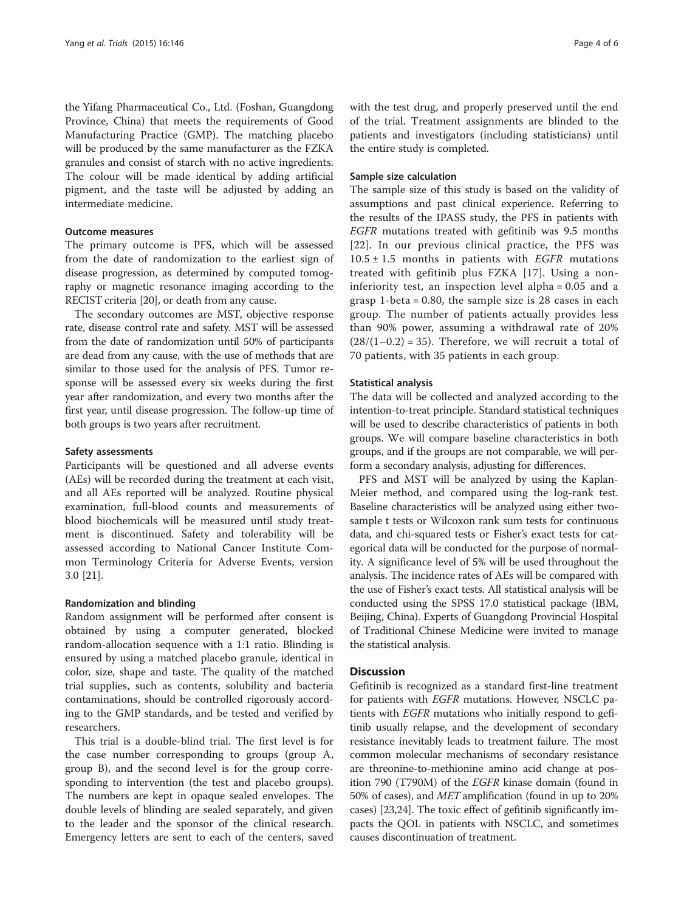the Yifang Pharmaceutical Co., Ltd. (Foshan, Guangdong Province, China) that meets the requirements of Good Manufacturing Practice (GMP). The matching placebo will be produced by the same manufacturer as the FZKA granules and consist of starch with no active ingredients. The colour will be made identical by adding artificial pigment, and the taste will be adjusted by adding an intermediate medicine.

#### Outcome measures

The primary outcome is PFS, which will be assessed from the date of randomization to the earliest sign of disease progression, as determined by computed tomography or magnetic resonance imaging according to the RECIST criteria [[20](#page-5-0)], or death from any cause.

The secondary outcomes are MST, objective response rate, disease control rate and safety. MST will be assessed from the date of randomization until 50% of participants are dead from any cause, with the use of methods that are similar to those used for the analysis of PFS. Tumor response will be assessed every six weeks during the first year after randomization, and every two months after the first year, until disease progression. The follow-up time of both groups is two years after recruitment.

#### Safety assessments

Participants will be questioned and all adverse events (AEs) will be recorded during the treatment at each visit, and all AEs reported will be analyzed. Routine physical examination, full-blood counts and measurements of blood biochemicals will be measured until study treatment is discontinued. Safety and tolerability will be assessed according to National Cancer Institute Common Terminology Criteria for Adverse Events, version 3.0 [[21\]](#page-5-0).

#### Randomization and blinding

Random assignment will be performed after consent is obtained by using a computer generated, blocked random-allocation sequence with a 1:1 ratio. Blinding is ensured by using a matched placebo granule, identical in color, size, shape and taste. The quality of the matched trial supplies, such as contents, solubility and bacteria contaminations, should be controlled rigorously according to the GMP standards, and be tested and verified by researchers.

This trial is a double-blind trial. The first level is for the case number corresponding to groups (group A, group B), and the second level is for the group corresponding to intervention (the test and placebo groups). The numbers are kept in opaque sealed envelopes. The double levels of blinding are sealed separately, and given to the leader and the sponsor of the clinical research. Emergency letters are sent to each of the centers, saved with the test drug, and properly preserved until the end of the trial. Treatment assignments are blinded to the patients and investigators (including statisticians) until the entire study is completed.

#### Sample size calculation

The sample size of this study is based on the validity of assumptions and past clinical experience. Referring to the results of the IPASS study, the PFS in patients with EGFR mutations treated with gefitinib was 9.5 months [[22](#page-5-0)]. In our previous clinical practice, the PFS was  $10.5 \pm 1.5$  months in patients with *EGFR* mutations treated with gefitinib plus FZKA [[17](#page-5-0)]. Using a noninferiority test, an inspection level alpha = 0.05 and a grasp 1-beta = 0.80, the sample size is 28 cases in each group. The number of patients actually provides less than 90% power, assuming a withdrawal rate of 20%  $(28/(1-0.2) = 35)$ . Therefore, we will recruit a total of 70 patients, with 35 patients in each group.

#### Statistical analysis

The data will be collected and analyzed according to the intention-to-treat principle. Standard statistical techniques will be used to describe characteristics of patients in both groups. We will compare baseline characteristics in both groups, and if the groups are not comparable, we will perform a secondary analysis, adjusting for differences.

PFS and MST will be analyzed by using the Kaplan-Meier method, and compared using the log-rank test. Baseline characteristics will be analyzed using either twosample t tests or Wilcoxon rank sum tests for continuous data, and chi-squared tests or Fisher's exact tests for categorical data will be conducted for the purpose of normality. A significance level of 5% will be used throughout the analysis. The incidence rates of AEs will be compared with the use of Fisher's exact tests. All statistical analysis will be conducted using the SPSS 17.0 statistical package (IBM, Beijing, China). Experts of Guangdong Provincial Hospital of Traditional Chinese Medicine were invited to manage the statistical analysis.

#### **Discussion**

Gefitinib is recognized as a standard first-line treatment for patients with EGFR mutations. However, NSCLC patients with EGFR mutations who initially respond to gefitinib usually relapse, and the development of secondary resistance inevitably leads to treatment failure. The most common molecular mechanisms of secondary resistance are threonine-to-methionine amino acid change at position 790 (T790M) of the EGFR kinase domain (found in 50% of cases), and MET amplification (found in up to 20% cases) [\[23,24](#page-5-0)]. The toxic effect of gefitinib significantly impacts the QOL in patients with NSCLC, and sometimes causes discontinuation of treatment.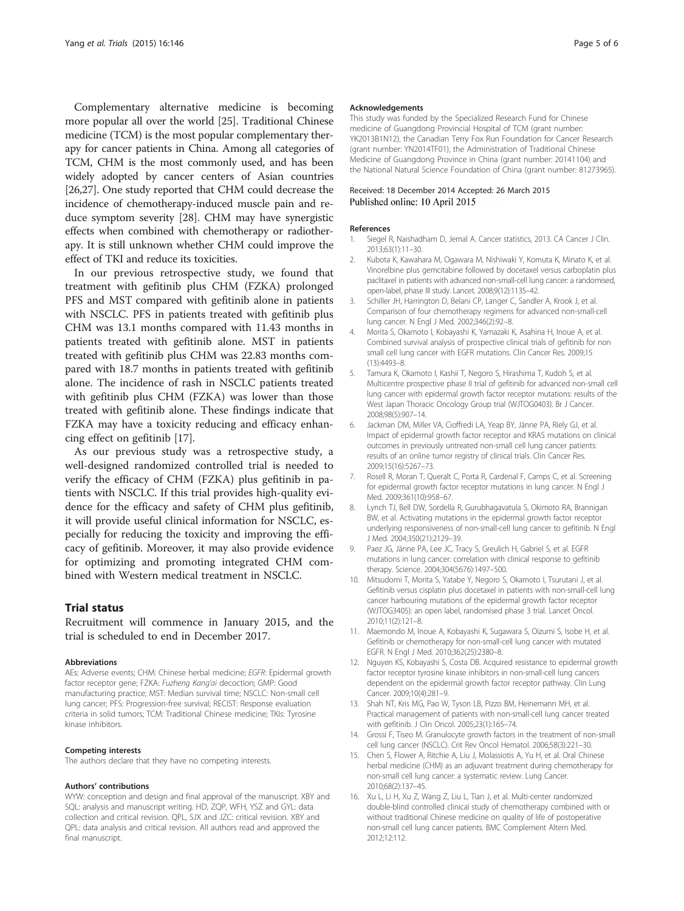<span id="page-4-0"></span>Complementary alternative medicine is becoming more popular all over the world [[25](#page-5-0)]. Traditional Chinese medicine (TCM) is the most popular complementary therapy for cancer patients in China. Among all categories of TCM, CHM is the most commonly used, and has been widely adopted by cancer centers of Asian countries [[26,27](#page-5-0)]. One study reported that CHM could decrease the incidence of chemotherapy-induced muscle pain and reduce symptom severity [\[28\]](#page-5-0). CHM may have synergistic effects when combined with chemotherapy or radiotherapy. It is still unknown whether CHM could improve the effect of TKI and reduce its toxicities.

In our previous retrospective study, we found that treatment with gefitinib plus CHM (FZKA) prolonged PFS and MST compared with gefitinib alone in patients with NSCLC. PFS in patients treated with gefitinib plus CHM was 13.1 months compared with 11.43 months in patients treated with gefitinib alone. MST in patients treated with gefitinib plus CHM was 22.83 months compared with 18.7 months in patients treated with gefitinib alone. The incidence of rash in NSCLC patients treated with gefitinib plus CHM (FZKA) was lower than those treated with gefitinib alone. These findings indicate that FZKA may have a toxicity reducing and efficacy enhancing effect on gefitinib [[17\]](#page-5-0).

As our previous study was a retrospective study, a well-designed randomized controlled trial is needed to verify the efficacy of CHM (FZKA) plus gefitinib in patients with NSCLC. If this trial provides high-quality evidence for the efficacy and safety of CHM plus gefitinib, it will provide useful clinical information for NSCLC, especially for reducing the toxicity and improving the efficacy of gefitinib. Moreover, it may also provide evidence for optimizing and promoting integrated CHM combined with Western medical treatment in NSCLC.

#### Trial status

Recruitment will commence in January 2015, and the trial is scheduled to end in December 2017.

#### Abbreviations

AEs: Adverse events; CHM: Chinese herbal medicine; EGFR: Epidermal growth factor receptor gene; FZKA: Fuzheng Kang'ai decoction; GMP: Good manufacturing practice; MST: Median survival time; NSCLC: Non-small cell lung cancer; PFS: Progression-free survival; RECIST: Response evaluation criteria in solid tumors; TCM: Traditional Chinese medicine; TKIs: Tyrosine kinase inhibitors.

#### Competing interests

The authors declare that they have no competing interests.

#### Authors' contributions

WYW: conception and design and final approval of the manuscript. XBY and SQL: analysis and manuscript writing. HD, ZQP, WFH, YSZ and GYL: data collection and critical revision. QPL, SJX and JZC: critical revision. XBY and QPL: data analysis and critical revision. All authors read and approved the final manuscript.

#### Acknowledgements

This study was funded by the Specialized Research Fund for Chinese medicine of Guangdong Provincial Hospital of TCM (grant number: YK2013B1N12), the Canadian Terry Fox Run Foundation for Cancer Research (grant number: YN2014TF01), the Administration of Traditional Chinese Medicine of Guangdong Province in China (grant number: 20141104) and the National Natural Science Foundation of China (grant number: 81273965).

#### Received: 18 December 2014 Accepted: 26 March 2015 Published online: 10 April 2015

#### References

- Siegel R, Naishadham D, Jemal A. Cancer statistics, 2013. CA Cancer J Clin. 2013;63(1):11–30.
- 2. Kubota K, Kawahara M, Ogawara M, Nishiwaki Y, Komuta K, Minato K, et al. Vinorelbine plus gemcitabine followed by docetaxel versus carboplatin plus paclitaxel in patients with advanced non-small-cell lung cancer: a randomised, open-label, phase III study. Lancet. 2008;9(12):1135–42.
- 3. Schiller JH, Harrington D, Belani CP, Langer C, Sandler A, Krook J, et al. Comparison of four chemotherapy regimens for advanced non-small-cell lung cancer. N Engl J Med. 2002;346(2):92–8.
- 4. Morita S, Okamoto I, Kobayashi K, Yamazaki K, Asahina H, Inoue A, et al. Combined survival analysis of prospective clinical trials of gefitinib for non small cell lung cancer with EGFR mutations. Clin Cancer Res. 2009;15 (13):4493–8.
- 5. Tamura K, Okamoto I, Kashii T, Negoro S, Hirashima T, Kudoh S, et al. Multicentre prospective phase II trial of gefitinib for advanced non-small cell lung cancer with epidermal growth factor receptor mutations: results of the West Japan Thoracic Oncology Group trial (WJTOG0403). Br J Cancer. 2008;98(5):907–14.
- 6. Jackman DM, Miller VA, Cioffredi LA, Yeap BY, Jänne PA, Riely GJ, et al. Impact of epidermal growth factor receptor and KRAS mutations on clinical outcomes in previously untreated non-small cell lung cancer patients: results of an online tumor registry of clinical trials. Clin Cancer Res. 2009;15(16):5267–73.
- 7. Rosell R, Moran T, Queralt C, Porta R, Cardenal F, Camps C, et al. Screening for epidermal growth factor receptor mutations in lung cancer. N Engl J Med. 2009;361(10):958–67.
- 8. Lynch TJ, Bell DW, Sordella R, Gurubhagavatula S, Okimoto RA, Brannigan BW, et al. Activating mutations in the epidermal growth factor receptor underlying responsiveness of non-small-cell lung cancer to gefitinib. N Engl J Med. 2004;350(21):2129–39.
- 9. Paez JG, Jänne PA, Lee JC, Tracy S, Greulich H, Gabriel S, et al. EGFR mutations in lung cancer: correlation with clinical response to gefitinib therapy. Science. 2004;304(5676):1497–500.
- 10. Mitsudomi T, Morita S, Yatabe Y, Negoro S, Okamoto I, Tsurutani J, et al. Gefitinib versus cisplatin plus docetaxel in patients with non-small-cell lung cancer harbouring mutations of the epidermal growth factor receptor (WJTOG3405): an open label, randomised phase 3 trial. Lancet Oncol. 2010;11(2):121–8.
- 11. Maemondo M, Inoue A, Kobayashi K, Sugawara S, Oizumi S, Isobe H, et al. Gefitinib or chemotherapy for non-small-cell lung cancer with mutated EGFR. N Engl J Med. 2010;362(25):2380–8.
- 12. Nguyen KS, Kobayashi S, Costa DB. Acquired resistance to epidermal growth factor receptor tyrosine kinase inhibitors in non-small-cell lung cancers dependent on the epidermal growth factor receptor pathway. Clin Lung Cancer. 2009;10(4):281–9.
- 13. Shah NT, Kris MG, Pao W, Tyson LB, Pizzo BM, Heinemann MH, et al. Practical management of patients with non-small-cell lung cancer treated with gefitinib. J Clin Oncol. 2005;23(1):165–74.
- 14. Grossi F, Tiseo M. Granulocyte growth factors in the treatment of non-small cell lung cancer (NSCLC). Crit Rev Oncol Hematol. 2006;58(3):221–30.
- 15. Chen S, Flower A, Ritchie A, Liu J, Molassiotis A, Yu H, et al. Oral Chinese herbal medicine (CHM) as an adjuvant treatment during chemotherapy for non-small cell lung cancer: a systematic review. Lung Cancer. 2010;68(2):137–45.
- 16. Xu L, Li H, Xu Z, Wang Z, Liu L, Tian J, et al. Multi-center randomized double-blind controlled clinical study of chemotherapy combined with or without traditional Chinese medicine on quality of life of postoperative non-small cell lung cancer patients. BMC Complement Altern Med. 2012;12:112.